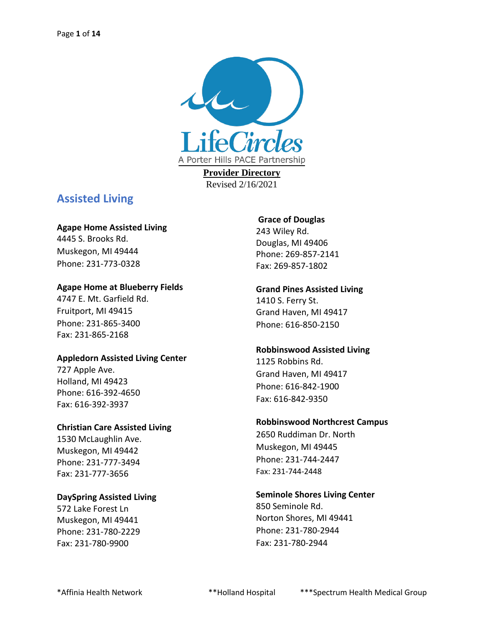

**Provider Directory** Revised 2/16/2021

## **Assisted Living**

#### **Agape Home Assisted Living**

4445 S. Brooks Rd. Muskegon, MI 49444 Phone: 231-773-0328

#### **Agape Home at Blueberry Fields**

4747 E. Mt. Garfield Rd. Fruitport, MI 49415 Phone: 231-865-3400 Fax: 231-865-2168

#### **Appledorn Assisted Living Center**

727 Apple Ave. Holland, MI 49423 Phone: 616-392-4650 Fax: 616-392-3937

#### **Christian Care Assisted Living**

1530 McLaughlin Ave. Muskegon, MI 49442 Phone: 231-777-3494 Fax: 231-777-3656

#### **DaySpring Assisted Living**

572 Lake Forest Ln Muskegon, MI 49441 Phone: 231-780-2229 Fax: 231-780-9900

#### **Grace of Douglas**

243 Wiley Rd. Douglas, MI 49406 Phone: 269-857-2141 Fax: 269-857-1802

### **Grand Pines Assisted Living**

1410 S. Ferry St. Grand Haven, MI 49417 Phone: 616-850-2150

#### **Robbinswood Assisted Living**

1125 Robbins Rd. Grand Haven, MI 49417 Phone: 616-842-1900 Fax: 616-842-9350

#### **Robbinswood Northcrest Campus**

2650 Ruddiman Dr. North Muskegon, MI 49445 Phone: 231-744-2447 Fax: 231-744-2448

#### **Seminole Shores Living Center**

850 Seminole Rd. Norton Shores, MI 49441 Phone: 231-780-2944 Fax: 231-780-2944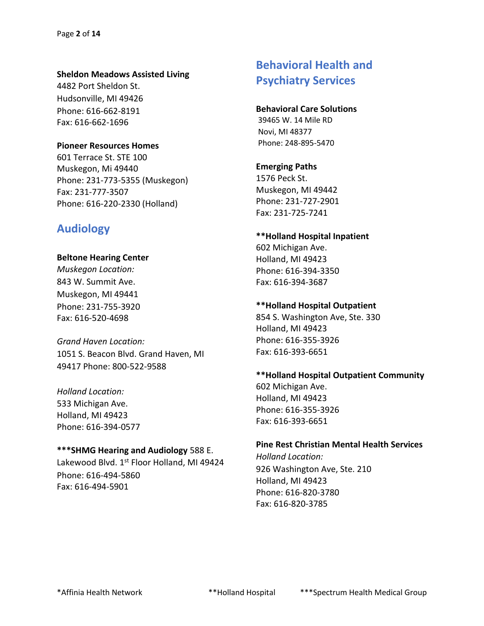#### **Sheldon Meadows Assisted Living**

4482 Port Sheldon St. Hudsonville, MI 49426 Phone: 616-662-8191 Fax: 616-662-1696

#### **Pioneer Resources Homes**

601 Terrace St. STE 100 Muskegon, Mi 49440 Phone: 231-773-5355 (Muskegon) Fax: 231-777-3507 Phone: 616-220-2330 (Holland)

## **Audiology**

#### **Beltone Hearing Center**

*Muskegon Location:* 843 W. Summit Ave. Muskegon, MI 49441 Phone: 231-755-3920 Fax: 616-520-4698

*Grand Haven Location:* 1051 S. Beacon Blvd. Grand Haven, MI 49417 Phone: 800-522-9588

*Holland Location:* 533 Michigan Ave. Holland, MI 49423 Phone: 616-394-0577

#### **\*\*\*SHMG Hearing and Audiology** 588 E.

Lakewood Blvd. 1st Floor Holland, MI 49424 Phone: 616-494-5860 Fax: 616-494-5901

# **Behavioral Health and Psychiatry Services**

#### **Behavioral Care Solutions**

39465 W. 14 Mile RD Novi, MI 48377 Phone: 248-895-5470

#### **Emerging Paths**

1576 Peck St. Muskegon, MI 49442 Phone: 231-727-2901 Fax: 231-725-7241

#### **\*\*Holland Hospital Inpatient**

602 Michigan Ave. Holland, MI 49423 Phone: 616-394-3350 Fax: 616-394-3687

#### **\*\*Holland Hospital Outpatient**

854 S. Washington Ave, Ste. 330 Holland, MI 49423 Phone: 616-355-3926 Fax: 616-393-6651

### **\*\*Holland Hospital Outpatient Community**

602 Michigan Ave. Holland, MI 49423 Phone: 616-355-3926 Fax: 616-393-6651

#### **Pine Rest Christian Mental Health Services**

*Holland Location:* 926 Washington Ave, Ste. 210 Holland, MI 49423 Phone: 616-820-3780 Fax: 616-820-3785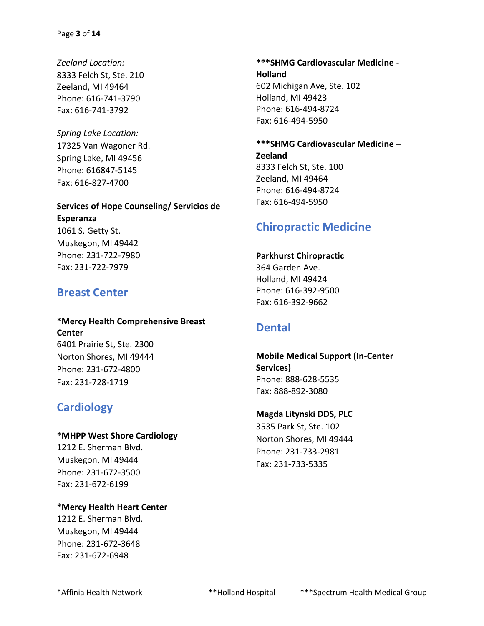*Zeeland Location:* 8333 Felch St, Ste. 210 Zeeland, MI 49464 Phone: 616-741-3790 Fax: 616-741-3792

*Spring Lake Location:* 17325 Van Wagoner Rd. Spring Lake, MI 49456 Phone: 616847-5145 Fax: 616-827-4700

## **Services of Hope Counseling/ Servicios de Esperanza** 1061 S. Getty St.

Muskegon, MI 49442 Phone: 231-722-7980 Fax: 231-722-7979

## **Breast Center**

### **\*Mercy Health Comprehensive Breast Center** 6401 Prairie St, Ste. 2300 Norton Shores, MI 49444

Phone: 231-672-4800 Fax: 231-728-1719

## **Cardiology**

#### **\*MHPP West Shore Cardiology**

1212 E. Sherman Blvd. Muskegon, MI 49444 Phone: 231-672-3500 Fax: 231-672-6199

### **\*Mercy Health Heart Center** 1212 E. Sherman Blvd. Muskegon, MI 49444 Phone: 231-672-3648 Fax: 231-672-6948

**\*\*\*SHMG Cardiovascular Medicine - Holland** 602 Michigan Ave, Ste. 102 Holland, MI 49423 Phone: 616-494-8724 Fax: 616-494-5950

**\*\*\*SHMG Cardiovascular Medicine – Zeeland** 8333 Felch St, Ste. 100 Zeeland, MI 49464 Phone: 616-494-8724 Fax: 616-494-5950

## **Chiropractic Medicine**

#### **Parkhurst Chiropractic**

364 Garden Ave. Holland, MI 49424 Phone: 616-392-9500 Fax: 616-392-9662

## **Dental**

### **Mobile Medical Support (In-Center Services)** Phone: 888-628-5535 Fax: 888-892-3080

#### **Magda Litynski DDS, PLC**

3535 Park St, Ste. 102 Norton Shores, MI 49444 Phone: 231-733-2981 Fax: 231-733-5335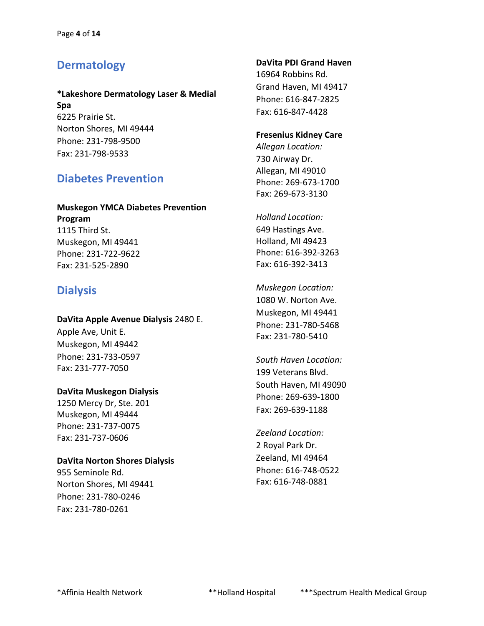## **Dermatology**

#### **\*Lakeshore Dermatology Laser & Medial Spa** 6225 Prairie St. Norton Shores, MI 49444

Phone: 231-798-9500 Fax: 231-798-9533

## **Diabetes Prevention**

### **Muskegon YMCA Diabetes Prevention Program** 1115 Third St. Muskegon, MI 49441 Phone: 231-722-9622

## **Dialysis**

Fax: 231-525-2890

#### **DaVita Apple Avenue Dialysis** 2480 E.

Apple Ave, Unit E. Muskegon, MI 49442 Phone: 231-733-0597 Fax: 231-777-7050

#### **DaVita Muskegon Dialysis**

1250 Mercy Dr, Ste. 201 Muskegon, MI 49444 Phone: 231-737-0075 Fax: 231-737-0606

#### **DaVita Norton Shores Dialysis**

955 Seminole Rd. Norton Shores, MI 49441 Phone: 231-780-0246 Fax: 231-780-0261

#### **DaVita PDI Grand Haven**

16964 Robbins Rd. Grand Haven, MI 49417 Phone: 616-847-2825 Fax: 616-847-4428

#### **Fresenius Kidney Care**

*Allegan Location:* 730 Airway Dr. Allegan, MI 49010 Phone: 269-673-1700 Fax: 269-673-3130

*Holland Location:* 649 Hastings Ave. Holland, MI 49423 Phone: 616-392-3263 Fax: 616-392-3413

*Muskegon Location:* 1080 W. Norton Ave. Muskegon, MI 49441 Phone: 231-780-5468 Fax: 231-780-5410

*South Haven Location:* 199 Veterans Blvd. South Haven, MI 49090 Phone: 269-639-1800 Fax: 269-639-1188

*Zeeland Location:* 2 Royal Park Dr. Zeeland, MI 49464 Phone: 616-748-0522 Fax: 616-748-0881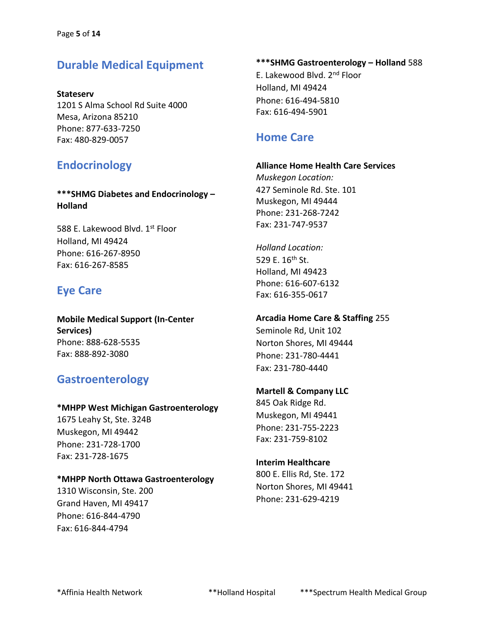## **Durable Medical Equipment**

**Stateserv** 1201 S Alma School Rd Suite 4000 Mesa, Arizona 85210 Phone: 877-633-7250 Fax: 480-829-0057

## **Endocrinology**

**\*\*\*SHMG Diabetes and Endocrinology – Holland**

588 E. Lakewood Blyd. 1<sup>st</sup> Floor Holland, MI 49424 Phone: 616-267-8950 Fax: 616-267-8585

## **Eye Care**

**Mobile Medical Support (In-Center Services)** Phone: 888-628-5535 Fax: 888-892-3080

## **Gastroenterology**

#### **\*MHPP West Michigan Gastroenterology**

1675 Leahy St, Ste. 324B Muskegon, MI 49442 Phone: 231-728-1700 Fax: 231-728-1675

#### **\*MHPP North Ottawa Gastroenterology**

1310 Wisconsin, Ste. 200 Grand Haven, MI 49417 Phone: 616-844-4790 Fax: 616-844-4794

**\*\*\*SHMG Gastroenterology – Holland** 588 E. Lakewood Blvd. 2<sup>nd</sup> Floor Holland, MI 49424 Phone: 616-494-5810 Fax: 616-494-5901

## **Home Care**

# **Alliance Home Health Care Services**

*Muskegon Location:* 427 Seminole Rd. Ste. 101 Muskegon, MI 49444 Phone: 231-268-7242 Fax: 231-747-9537

*Holland Location:* 529 E. 16<sup>th</sup> St. Holland, MI 49423 Phone: 616-607-6132 Fax: 616-355-0617

#### **Arcadia Home Care & Staffing** 255

Seminole Rd, Unit 102 Norton Shores, MI 49444 Phone: 231-780-4441 Fax: 231-780-4440

### **Martell & Company LLC**

845 Oak Ridge Rd. Muskegon, MI 49441 Phone: 231-755-2223 Fax: 231-759-8102

#### **Interim Healthcare**

800 E. Ellis Rd, Ste. 172 Norton Shores, MI 49441 Phone: 231-629-4219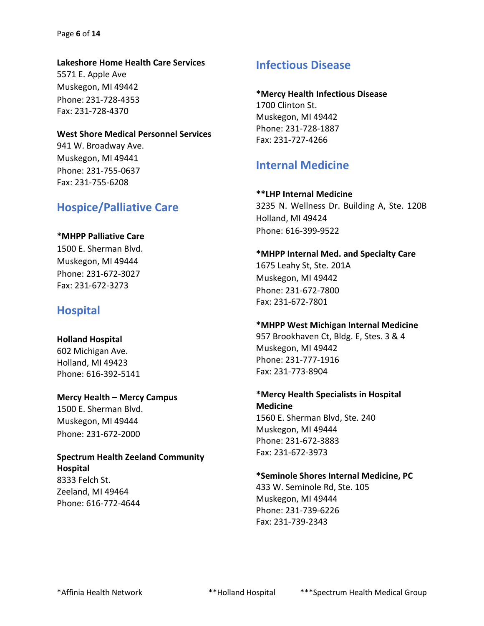#### Page **6** of **14**

#### **Lakeshore Home Health Care Services**

5571 E. Apple Ave Muskegon, MI 49442 Phone: 231-728-4353 Fax: 231-728-4370

#### **West Shore Medical Personnel Services**

941 W. Broadway Ave. Muskegon, MI 49441 Phone: 231-755-0637 Fax: 231-755-6208

### **Hospice/Palliative Care**

#### **\*MHPP Palliative Care**

1500 E. Sherman Blvd. Muskegon, MI 49444 Phone: 231-672-3027 Fax: 231-672-3273

### **Hospital**

#### **Holland Hospital**

602 Michigan Ave. Holland, MI 49423 Phone: 616-392-5141

Phone: 231-672-2000

**Mercy Health – Mercy Campus** 1500 E. Sherman Blvd. Muskegon, MI 49444

**Spectrum Health Zeeland Community Hospital** 8333 Felch St. Zeeland, MI 49464 Phone: 616-772-4644

### **Infectious Disease**

#### **\*Mercy Health Infectious Disease**

1700 Clinton St. Muskegon, MI 49442 Phone: 231-728-1887 Fax: 231-727-4266

### **Internal Medicine**

#### **\*\*LHP Internal Medicine**

3235 N. Wellness Dr. Building A, Ste. 120B Holland, MI 49424 Phone: 616-399-9522

**\*MHPP Internal Med. and Specialty Care** 1675 Leahy St, Ste. 201A Muskegon, MI 49442 Phone: 231-672-7800 Fax: 231-672-7801

#### **\*MHPP West Michigan Internal Medicine**

957 Brookhaven Ct, Bldg. E, Stes. 3 & 4 Muskegon, MI 49442 Phone: 231-777-1916 Fax: 231-773-8904

**\*Mercy Health Specialists in Hospital Medicine** 1560 E. Sherman Blvd, Ste. 240 Muskegon, MI 49444 Phone: 231-672-3883 Fax: 231-672-3973

#### **\*Seminole Shores Internal Medicine, PC**

433 W. Seminole Rd, Ste. 105 Muskegon, MI 49444 Phone: 231-739-6226 Fax: 231-739-2343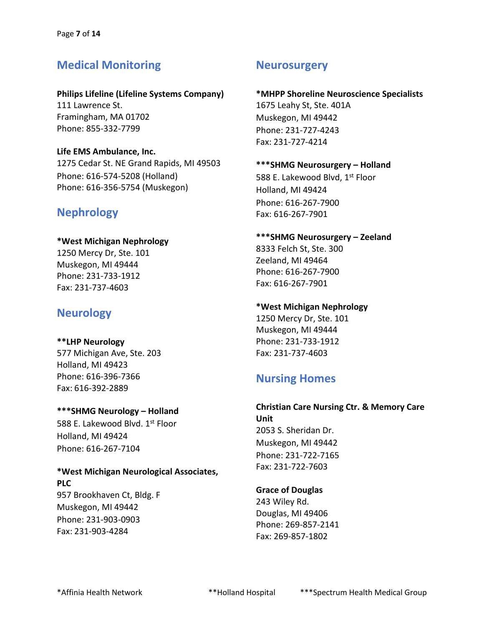## **Medical Monitoring**

#### **Philips Lifeline (Lifeline Systems Company)**

111 Lawrence St. Framingham, MA 01702 Phone: 855-332-7799

#### **Life EMS Ambulance, Inc.**

1275 Cedar St. NE Grand Rapids, MI 49503 Phone: 616-574-5208 (Holland) Phone: 616-356-5754 (Muskegon)

## **Nephrology**

#### **\*West Michigan Nephrology**

1250 Mercy Dr, Ste. 101 Muskegon, MI 49444 Phone: 231-733-1912 Fax: 231-737-4603

## **Neurology**

## **\*\*LHP Neurology**

577 Michigan Ave, Ste. 203 Holland, MI 49423 Phone: 616-396-7366 Fax: 616-392-2889

#### **\*\*\*SHMG Neurology – Holland**

588 E. Lakewood Blyd. 1<sup>st</sup> Floor Holland, MI 49424 Phone: 616-267-7104

## **\*West Michigan Neurological Associates,**

**PLC** 957 Brookhaven Ct, Bldg. F Muskegon, MI 49442 Phone: 231-903-0903 Fax: 231-903-4284

## **Neurosurgery**

#### **\*MHPP Shoreline Neuroscience Specialists** 1675 Leahy St, Ste. 401A

Muskegon, MI 49442 Phone: 231-727-4243 Fax: 231-727-4214

#### **\*\*\*SHMG Neurosurgery – Holland**

588 E. Lakewood Blvd, 1<sup>st</sup> Floor Holland, MI 49424 Phone: 616-267-7900 Fax: 616-267-7901

#### **\*\*\*SHMG Neurosurgery – Zeeland** 8333 Felch St, Ste. 300

Zeeland, MI 49464 Phone: 616-267-7900 Fax: 616-267-7901

#### **\*West Michigan Nephrology**

1250 Mercy Dr, Ste. 101 Muskegon, MI 49444 Phone: 231-733-1912 Fax: 231-737-4603

## **Nursing Homes**

### **Christian Care Nursing Ctr. & Memory Care Unit** 2053 S. Sheridan Dr. Muskegon, MI 49442 Phone: 231-722-7165

#### **Grace of Douglas**

Fax: 231-722-7603

243 Wiley Rd. Douglas, MI 49406 Phone: 269-857-2141 Fax: 269-857-1802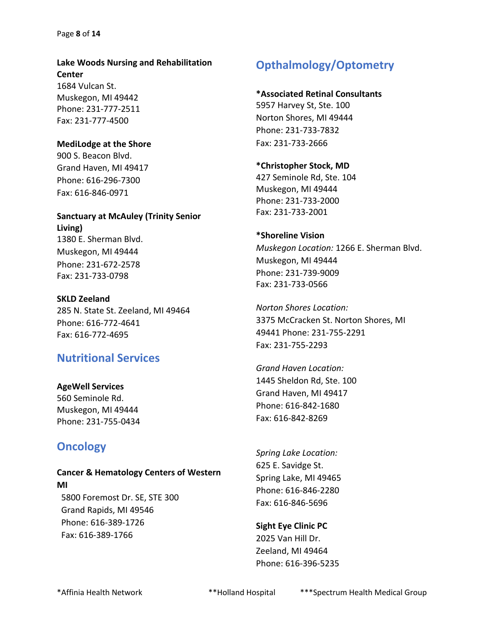## **Lake Woods Nursing and Rehabilitation Center** 1684 Vulcan St.

Muskegon, MI 49442 Phone: 231-777-2511 Fax: 231-777-4500

#### **MediLodge at the Shore**

900 S. Beacon Blvd. Grand Haven, MI 49417 Phone: 616-296-7300 Fax: 616-846-0971

## **Sanctuary at McAuley (Trinity Senior Living)** 1380 E. Sherman Blvd.

Muskegon, MI 49444 Phone: 231-672-2578 Fax: 231-733-0798

**SKLD Zeeland** 285 N. State St. Zeeland, MI 49464 Phone: 616-772-4641 Fax: 616-772-4695

## **Nutritional Services**

## **AgeWell Services**

560 Seminole Rd. Muskegon, MI 49444 Phone: 231-755-0434

# **Oncology**

# **Cancer & Hematology Centers of Western MI** 5800 Foremost Dr. SE, STE 300

 Grand Rapids, MI 49546 Phone: 616-389-1726 Fax: 616-389-1766

# **Opthalmology/Optometry**

#### **\*Associated Retinal Consultants**

5957 Harvey St, Ste. 100 Norton Shores, MI 49444 Phone: 231-733-7832 Fax: 231-733-2666

#### **\*Christopher Stock, MD**

427 Seminole Rd, Ste. 104 Muskegon, MI 49444 Phone: 231-733-2000 Fax: 231-733-2001

#### **\*Shoreline Vision**

*Muskegon Location:* 1266 E. Sherman Blvd. Muskegon, MI 49444 Phone: 231-739-9009 Fax: 231-733-0566

*Norton Shores Location:* 3375 McCracken St. Norton Shores, MI 49441 Phone: 231-755-2291 Fax: 231-755-2293

*Grand Haven Location:*  1445 Sheldon Rd, Ste. 100 Grand Haven, MI 49417 Phone: 616-842-1680 Fax: 616-842-8269

*Spring Lake Location:* 625 E. Savidge St. Spring Lake, MI 49465 Phone: 616-846-2280 Fax: 616-846-5696

### **Sight Eye Clinic PC** 2025 Van Hill Dr. Zeeland, MI 49464 Phone: 616-396-5235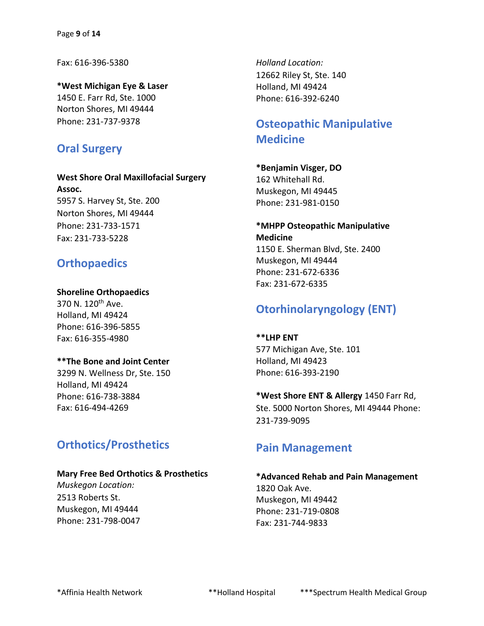Fax: 616-396-5380

**\*West Michigan Eye & Laser** 1450 E. Farr Rd, Ste. 1000 Norton Shores, MI 49444 Phone: 231-737-9378

## **Oral Surgery**

**West Shore Oral Maxillofacial Surgery Assoc.** 5957 S. Harvey St, Ste. 200 Norton Shores, MI 49444 Phone: 231-733-1571 Fax: 231-733-5228

## **Orthopaedics**

#### **Shoreline Orthopaedics**

370 N. 120<sup>th</sup> Ave. Holland, MI 49424 Phone: 616-396-5855 Fax: 616-355-4980

#### **\*\*The Bone and Joint Center**

3299 N. Wellness Dr, Ste. 150 Holland, MI 49424 Phone: 616-738-3884 Fax: 616-494-4269

### **Orthotics/Prosthetics**

#### **Mary Free Bed Orthotics & Prosthetics**

*Muskegon Location:* 2513 Roberts St. Muskegon, MI 49444 Phone: 231-798-0047 *Holland Location:* 12662 Riley St, Ste. 140 Holland, MI 49424 Phone: 616-392-6240

## **Osteopathic Manipulative Medicine**

**\*Benjamin Visger, DO** 162 Whitehall Rd. Muskegon, MI 49445 Phone: 231-981-0150

#### **\*MHPP Osteopathic Manipulative Medicine** 1150 E. Sherman Blvd, Ste. 2400

Muskegon, MI 49444 Phone: 231-672-6336 Fax: 231-672-6335

# **Otorhinolaryngology (ENT)**

**\*\*LHP ENT** 577 Michigan Ave, Ste. 101 Holland, MI 49423 Phone: 616-393-2190

**\*West Shore ENT & Allergy** 1450 Farr Rd, Ste. 5000 Norton Shores, MI 49444 Phone: 231-739-9095

### **Pain Management**

#### **\*Advanced Rehab and Pain Management** 1820 Oak Ave. Muskegon, MI 49442 Phone: 231-719-0808

Fax: 231-744-9833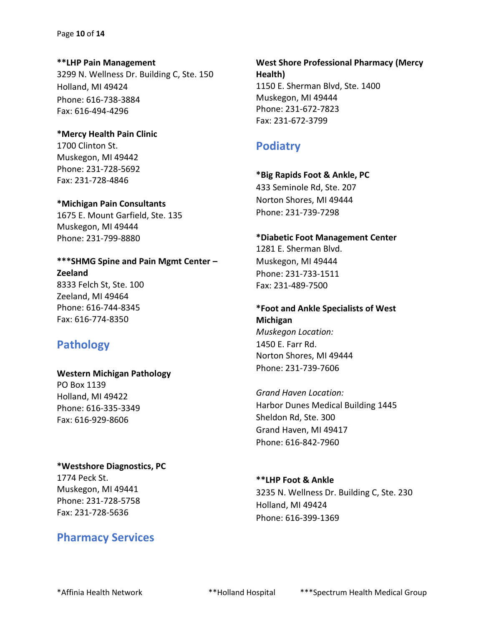#### Page **10** of **14**

**\*\*LHP Pain Management** 3299 N. Wellness Dr. Building C, Ste. 150 Holland, MI 49424 Phone: 616-738-3884 Fax: 616-494-4296

## **\*Mercy Health Pain Clinic**

1700 Clinton St. Muskegon, MI 49442 Phone: 231-728-5692 Fax: 231-728-4846

#### **\*Michigan Pain Consultants**

1675 E. Mount Garfield, Ste. 135 Muskegon, MI 49444 Phone: 231-799-8880

### **\*\*\*SHMG Spine and Pain Mgmt Center – Zeeland** 8333 Felch St, Ste. 100 Zeeland, MI 49464 Phone: 616-744-8345 Fax: 616-774-8350

## **Pathology**

#### **Western Michigan Pathology**

PO Box 1139 Holland, MI 49422 Phone: 616-335-3349 Fax: 616-929-8606

#### **\*Westshore Diagnostics, PC**

1774 Peck St. Muskegon, MI 49441 Phone: 231-728-5758 Fax: 231-728-5636

## **Pharmacy Services**

**West Shore Professional Pharmacy (Mercy Health)** 1150 E. Sherman Blvd, Ste. 1400 Muskegon, MI 49444 Phone: 231-672-7823 Fax: 231-672-3799

## **Podiatry**

### **\*Big Rapids Foot & Ankle, PC**  433 Seminole Rd, Ste. 207

Norton Shores, MI 49444 Phone: 231-739-7298

### **\*Diabetic Foot Management Center** 1281 E. Sherman Blvd. Muskegon, MI 49444 Phone: 231-733-1511 Fax: 231-489-7500

**\*Foot and Ankle Specialists of West Michigan** *Muskegon Location:* 1450 E. Farr Rd. Norton Shores, MI 49444 Phone: 231-739-7606

*Grand Haven Location:* Harbor Dunes Medical Building 1445 Sheldon Rd, Ste. 300 Grand Haven, MI 49417 Phone: 616-842-7960

#### **\*\*LHP Foot & Ankle**

3235 N. Wellness Dr. Building C, Ste. 230 Holland, MI 49424 Phone: 616-399-1369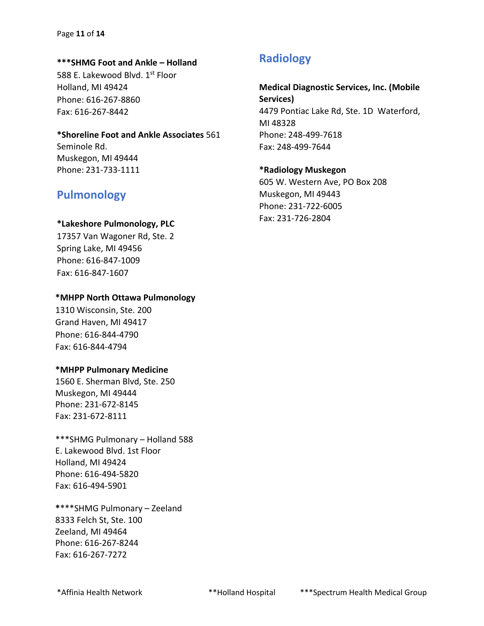#### **\*\*\*SHMG Foot and Ankle – Holland**

588 E. Lakewood Blvd. 1st Floor Holland, MI 49424 Phone: 616-267-8860 Fax: 616-267-8442

#### **\*Shoreline Foot and Ankle Associates** 561

Seminole Rd. Muskegon, MI 49444 Phone: 231-733-1111

### **Pulmonology**

#### **\*Lakeshore Pulmonology, PLC**

17357 Van Wagoner Rd, Ste. 2 Spring Lake, MI 49456 Phone: 616-847-1009 Fax: 616-847-1607

#### **\*MHPP North Ottawa Pulmonology**

1310 Wisconsin, Ste. 200 Grand Haven, MI 49417 Phone: 616-844-4790 Fax: 616-844-4794

#### **\*MHPP Pulmonary Medicine**

1560 E. Sherman Blvd, Ste. 250 Muskegon, MI 49444 Phone: 231-672-8145 Fax: 231-672-8111

\*\*\*SHMG Pulmonary – Holland 588 E. Lakewood Blvd. 1st Floor Holland, MI 49424 Phone: 616-494-5820 Fax: 616-494-5901

**\***\*\*\*SHMG Pulmonary – Zeeland 8333 Felch St, Ste. 100 Zeeland, MI 49464 Phone: 616-267-8244 Fax: 616-267-7272

### **Radiology**

**Medical Diagnostic Services, Inc. (Mobile Services)**  4479 Pontiac Lake Rd, Ste. 1D Waterford, MI 48328 Phone: 248-499-7618 Fax: 248-499-7644

#### **\*Radiology Muskegon**

605 W. Western Ave, PO Box 208 Muskegon, MI 49443 Phone: 231-722-6005 Fax: 231-726-2804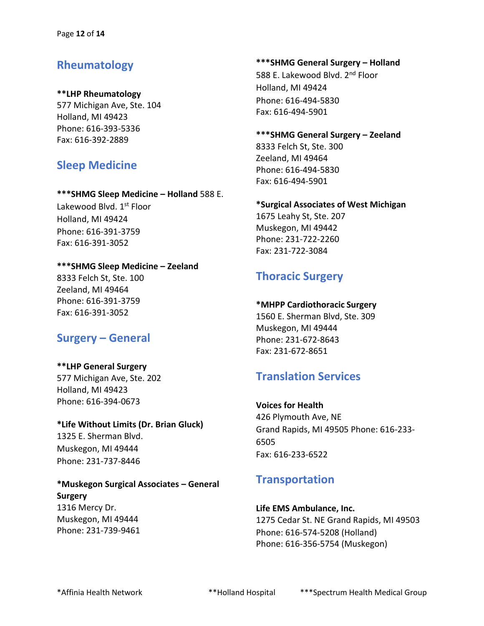## **Rheumatology**

#### **\*\*LHP Rheumatology**

577 Michigan Ave, Ste. 104 Holland, MI 49423 Phone: 616-393-5336 Fax: 616-392-2889

## **Sleep Medicine**

#### **\*\*\*SHMG Sleep Medicine – Holland** 588 E.

Lakewood Blvd. 1st Floor Holland, MI 49424 Phone: 616-391-3759 Fax: 616-391-3052

### **\*\*\*SHMG Sleep Medicine – Zeeland**

8333 Felch St, Ste. 100 Zeeland, MI 49464 Phone: 616-391-3759 Fax: 616-391-3052

## **Surgery – General**

### **\*\*LHP General Surgery** 577 Michigan Ave, Ste. 202

Holland, MI 49423 Phone: 616-394-0673

### **\*Life Without Limits (Dr. Brian Gluck)** 1325 E. Sherman Blvd. Muskegon, MI 49444 Phone: 231-737-8446

#### **\*Muskegon Surgical Associates – General Surgery** 1316 Mercy Dr. Muskegon, MI 49444 Phone: 231-739-9461

# **\*\*\*SHMG General Surgery – Holland**

588 E. Lakewood Blyd. 2<sup>nd</sup> Floor Holland, MI 49424 Phone: 616-494-5830 Fax: 616-494-5901

### **\*\*\*SHMG General Surgery – Zeeland** 8333 Felch St, Ste. 300 Zeeland, MI 49464 Phone: 616-494-5830

### **\*Surgical Associates of West Michigan** 1675 Leahy St, Ste. 207

Muskegon, MI 49442 Phone: 231-722-2260 Fax: 231-722-3084

Fax: 616-494-5901

# **Thoracic Surgery**

### **\*MHPP Cardiothoracic Surgery**

1560 E. Sherman Blvd, Ste. 309 Muskegon, MI 49444 Phone: 231-672-8643 Fax: 231-672-8651

## **Translation Services**

### **Voices for Health** 426 Plymouth Ave, NE Grand Rapids, MI 49505 Phone: 616-233- 6505 Fax: 616-233-6522

## **Transportation**

# **Life EMS Ambulance, Inc.**

1275 Cedar St. NE Grand Rapids, MI 49503 Phone: 616-574-5208 (Holland) Phone: 616-356-5754 (Muskegon)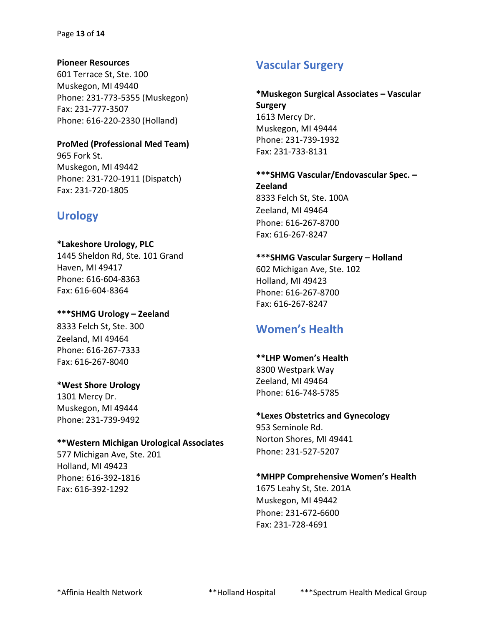**Pioneer Resources** 601 Terrace St, Ste. 100 Muskegon, MI 49440 Phone: 231-773-5355 (Muskegon) Fax: 231-777-3507 Phone: 616-220-2330 (Holland)

### **ProMed (Professional Med Team)** 965 Fork St. Muskegon, MI 49442

Phone: 231-720-1911 (Dispatch) Fax: 231-720-1805

# **Urology**

**\*Lakeshore Urology, PLC** 1445 Sheldon Rd, Ste. 101 Grand Haven, MI 49417 Phone: 616-604-8363 Fax: 616-604-8364

**\*\*\*SHMG Urology – Zeeland**  8333 Felch St, Ste. 300 Zeeland, MI 49464 Phone: 616-267-7333 Fax: 616-267-8040

#### **\*West Shore Urology** 1301 Mercy Dr. Muskegon, MI 49444

Phone: 231-739-9492

### **\*\*Western Michigan Urological Associates**

577 Michigan Ave, Ste. 201 Holland, MI 49423 Phone: 616-392-1816 Fax: 616-392-1292

# **Vascular Surgery**

**\*Muskegon Surgical Associates – Vascular Surgery** 1613 Mercy Dr. Muskegon, MI 49444 Phone: 231-739-1932 Fax: 231-733-8131

**\*\*\*SHMG Vascular/Endovascular Spec. – Zeeland** 8333 Felch St, Ste. 100A Zeeland, MI 49464 Phone: 616-267-8700 Fax: 616-267-8247

**\*\*\*SHMG Vascular Surgery – Holland** 602 Michigan Ave, Ste. 102 Holland, MI 49423 Phone: 616-267-8700 Fax: 616-267-8247

# **Women's Health**

**\*\*LHP Women's Health** 8300 Westpark Way Zeeland, MI 49464 Phone: 616-748-5785

### **\*Lexes Obstetrics and Gynecology**

953 Seminole Rd. Norton Shores, MI 49441 Phone: 231-527-5207

### **\*MHPP Comprehensive Women's Health**

1675 Leahy St, Ste. 201A Muskegon, MI 49442 Phone: 231-672-6600 Fax: 231-728-4691